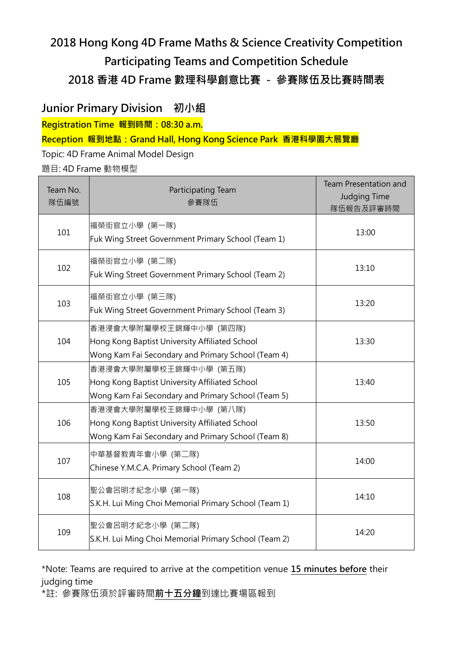# 2018 Hong Kong 4D Frame Maths & Science Creativity Competition Participating Teams and Competition Schedule 2018 香港 4D Frame 數理科學創意比賽 - 參賽隊伍及比賽時間表

### Junior Primary Division 初小組

Registration Time 報到時間: 08:30 a.m.

Reception 報到地點:Grand Hall, Hong Kong Science Park 香港科學園大展覽廳

#### Topic: 4D Frame Animal Model Design

題目: 4D Frame 動物模型

| Team No.<br>隊伍編號 | Participating Team<br>參賽隊伍                                                                                                     | Team Presentation and<br>Judging Time<br>隊伍報告及評審時間 |
|------------------|--------------------------------------------------------------------------------------------------------------------------------|----------------------------------------------------|
| 101              | 福榮街官立小學 (第一隊)<br>Fuk Wing Street Government Primary School (Team 1)                                                            | 13:00                                              |
| 102              | 福榮街官立小學 (第二隊)<br>Fuk Wing Street Government Primary School (Team 2)                                                            | 13:10                                              |
| 103              | 福榮街官立小學 (第三隊)<br>Fuk Wing Street Government Primary School (Team 3)                                                            | 13:20                                              |
| 104              | 香港浸會大學附屬學校王錦輝中小學 (第四隊)<br>Hong Kong Baptist University Affiliated School<br>Wong Kam Fai Secondary and Primary School (Team 4) | 13:30                                              |
| 105              | 香港浸會大學附屬學校王錦輝中小學 (第五隊)<br>Hong Kong Baptist University Affiliated School<br>Wong Kam Fai Secondary and Primary School (Team 5) | 13:40                                              |
| 106              | 香港浸會大學附屬學校王錦輝中小學 (第八隊)<br>Hong Kong Baptist University Affiliated School<br>Wong Kam Fai Secondary and Primary School (Team 8) | 13:50                                              |
| 107              | 中華基督教青年會小學 (第二隊)<br>Chinese Y.M.C.A. Primary School (Team 2)                                                                   | 14:00                                              |
| 108              | 聖公會呂明才紀念小學 (第一隊)<br>S.K.H. Lui Ming Choi Memorial Primary School (Team 1)                                                      | 14:10                                              |
| 109              | 聖公會呂明才紀念小學 (第二隊)<br>S.K.H. Lui Ming Choi Memorial Primary School (Team 2)                                                      | 14:20                                              |

\*Note: Teams are required to arrive at the competition venue 15 minutes before their judging time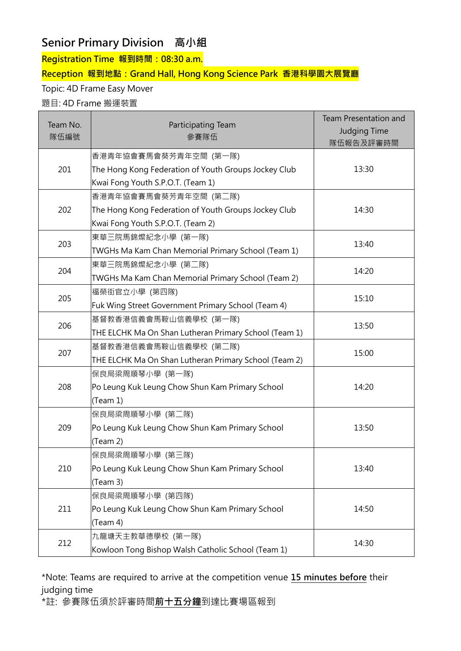## Senior Primary Division 高小組

Registration Time 報到時間: 08:30 a.m.

#### Reception 報到地點:Grand Hall, Hong Kong Science Park 香港科學園大展覽廳

Topic: 4D Frame Easy Mover

#### 題目: 4D Frame 搬運裝置

| Team No.<br>隊伍編號 | Participating Team<br>參賽隊伍                            | <b>Team Presentation and</b><br><b>Judging Time</b><br>隊伍報告及評審時間 |
|------------------|-------------------------------------------------------|------------------------------------------------------------------|
|                  | 香港青年協會賽馬會葵芳青年空間 (第一隊)                                 |                                                                  |
| 201              | The Hong Kong Federation of Youth Groups Jockey Club  | 13:30                                                            |
|                  | Kwai Fong Youth S.P.O.T. (Team 1)                     |                                                                  |
|                  | 香港青年協會賽馬會葵芳青年空間 (第二隊)                                 |                                                                  |
| 202              | The Hong Kong Federation of Youth Groups Jockey Club  | 14:30                                                            |
|                  | Kwai Fong Youth S.P.O.T. (Team 2)                     |                                                                  |
| 203              | 東華三院馬錦燦紀念小學 (第一隊)                                     | 13:40                                                            |
|                  | TWGHs Ma Kam Chan Memorial Primary School (Team 1)    |                                                                  |
| 204              | 東華三院馬錦燦紀念小學 (第二隊)                                     | 14:20                                                            |
|                  | TWGHs Ma Kam Chan Memorial Primary School (Team 2)    |                                                                  |
| 205              | 福榮街官立小學 (第四隊)                                         | 15:10                                                            |
|                  | Fuk Wing Street Government Primary School (Team 4)    |                                                                  |
| 206              | 基督教香港信義會馬鞍山信義學校 (第一隊)                                 | 13:50                                                            |
|                  | THE ELCHK Ma On Shan Lutheran Primary School (Team 1) |                                                                  |
| 207              | 基督教香港信義會馬鞍山信義學校 (第二隊)                                 | 15:00                                                            |
|                  | THE ELCHK Ma On Shan Lutheran Primary School (Team 2) |                                                                  |
|                  | 保良局梁周順琴小學 (第一隊)                                       |                                                                  |
| 208              | Po Leung Kuk Leung Chow Shun Kam Primary School       | 14:20                                                            |
|                  | (Team 1)                                              |                                                                  |
|                  | 保良局梁周順琴小學 (第二隊)                                       |                                                                  |
| 209              | Po Leung Kuk Leung Chow Shun Kam Primary School       | 13:50                                                            |
|                  | (Team 2)                                              |                                                                  |
| 210              | 保良局梁周順琴小學 (第三隊)                                       |                                                                  |
|                  | Po Leung Kuk Leung Chow Shun Kam Primary School       | 13:40                                                            |
|                  | (Team 3)                                              |                                                                  |
| 211              | 保良局梁周順琴小學 (第四隊)                                       |                                                                  |
|                  | Po Leung Kuk Leung Chow Shun Kam Primary School       | 14:50                                                            |
|                  | (Team 4)                                              |                                                                  |
| 212              | 九龍塘天主教華德學校 (第一隊)                                      |                                                                  |
|                  | Kowloon Tong Bishop Walsh Catholic School (Team 1)    | 14:30                                                            |

\*Note: Teams are required to arrive at the competition venue 15 minutes before their judging time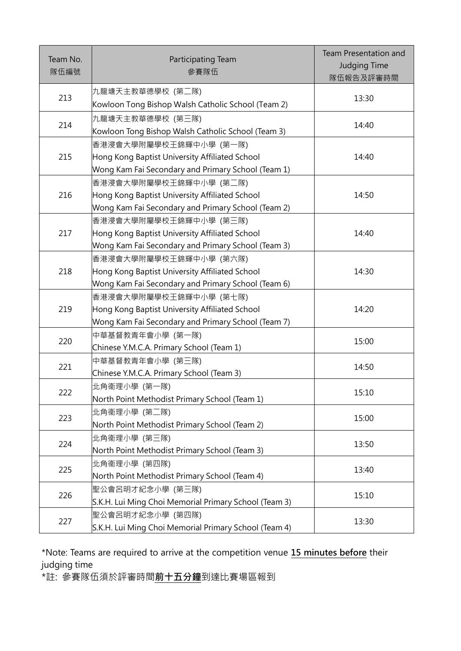| Team No.<br>隊伍編號 | Participating Team<br>參賽隊伍                                                                                                     | <b>Team Presentation and</b><br><b>Judging Time</b><br>隊伍報告及評審時間 |
|------------------|--------------------------------------------------------------------------------------------------------------------------------|------------------------------------------------------------------|
| 213              | 九龍塘天主教華德學校 (第二隊)<br>Kowloon Tong Bishop Walsh Catholic School (Team 2)                                                         | 13:30                                                            |
| 214              | 九龍塘天主教華德學校 (第三隊)<br>Kowloon Tong Bishop Walsh Catholic School (Team 3)                                                         | 14:40                                                            |
| 215              | 香港浸會大學附屬學校王錦輝中小學 (第一隊)<br>Hong Kong Baptist University Affiliated School<br>Wong Kam Fai Secondary and Primary School (Team 1) | 14:40                                                            |
| 216              | 香港浸會大學附屬學校王錦輝中小學 (第二隊)<br>Hong Kong Baptist University Affiliated School<br>Wong Kam Fai Secondary and Primary School (Team 2) | 14:50                                                            |
| 217              | 香港浸會大學附屬學校王錦輝中小學 (第三隊)<br>Hong Kong Baptist University Affiliated School<br>Wong Kam Fai Secondary and Primary School (Team 3) | 14:40                                                            |
| 218              | 香港浸會大學附屬學校王錦輝中小學 (第六隊)<br>Hong Kong Baptist University Affiliated School<br>Wong Kam Fai Secondary and Primary School (Team 6) | 14:30                                                            |
| 219              | 香港浸會大學附屬學校王錦輝中小學 (第七隊)<br>Hong Kong Baptist University Affiliated School<br>Wong Kam Fai Secondary and Primary School (Team 7) | 14:20                                                            |
| 220              | 中華基督教青年會小學 (第一隊)<br>Chinese Y.M.C.A. Primary School (Team 1)                                                                   | 15:00                                                            |
| 221              | 中華基督教青年會小學 (第三隊)<br>Chinese Y.M.C.A. Primary School (Team 3)                                                                   | 14:50                                                            |
| 222              | 北角衞理小學 (第一隊)<br>North Point Methodist Primary School (Team 1)                                                                  | 15:10                                                            |
| 223              | 北角衞理小學 (第二隊)<br>North Point Methodist Primary School (Team 2)                                                                  | 15:00                                                            |
| 224              | 北角衞理小學 (第三隊)<br>North Point Methodist Primary School (Team 3)                                                                  | 13:50                                                            |
| 225              | 北角衞理小學 (第四隊)<br>North Point Methodist Primary School (Team 4)                                                                  | 13:40                                                            |
| 226              | 聖公會呂明才紀念小學 (第三隊)<br>S.K.H. Lui Ming Choi Memorial Primary School (Team 3)                                                      | 15:10                                                            |
| 227              | 聖公會呂明才紀念小學 (第四隊)<br>S.K.H. Lui Ming Choi Memorial Primary School (Team 4)                                                      | 13:30                                                            |

\*Note: Teams are required to arrive at the competition venue 15 minutes before their judging time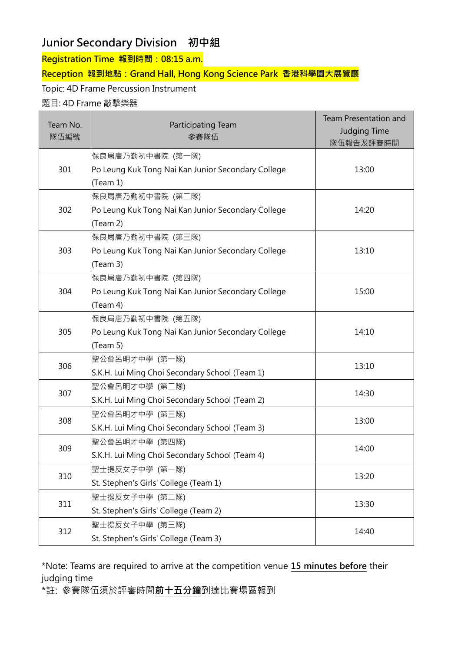### Junior Secondary Division 初中組

Registration Time 報到時間: 08:15 a.m.

#### Reception 報到地點:Grand Hall, Hong Kong Science Park 香港科學園大展覽廳

Topic: 4D Frame Percussion Instrument

#### 題目: 4D Frame 敲擊樂器

| Team No.<br>隊伍編號 | Participating Team<br>參賽隊伍                         | <b>Team Presentation and</b><br><b>Judging Time</b><br>隊伍報告及評審時間 |
|------------------|----------------------------------------------------|------------------------------------------------------------------|
|                  | 保良局唐乃勤初中書院 (第一隊)                                   |                                                                  |
| 301              | Po Leung Kuk Tong Nai Kan Junior Secondary College | 13:00                                                            |
|                  | (Team 1)                                           |                                                                  |
|                  | 保良局唐乃勤初中書院 (第二隊)                                   |                                                                  |
| 302              | Po Leung Kuk Tong Nai Kan Junior Secondary College | 14:20                                                            |
|                  | (Team 2)                                           |                                                                  |
|                  | 保良局唐乃勤初中書院 (第三隊)                                   |                                                                  |
| 303              | Po Leung Kuk Tong Nai Kan Junior Secondary College | 13:10                                                            |
|                  | (Team 3)                                           |                                                                  |
|                  | 保良局唐乃勤初中書院 (第四隊)                                   |                                                                  |
| 304              | Po Leung Kuk Tong Nai Kan Junior Secondary College | 15:00                                                            |
|                  | (Team 4)                                           |                                                                  |
|                  | 保良局唐乃勤初中書院 (第五隊)                                   |                                                                  |
| 305              | Po Leung Kuk Tong Nai Kan Junior Secondary College | 14:10                                                            |
|                  | (Team 5)                                           |                                                                  |
| 306              | 聖公會呂明才中學 (第一隊)                                     | 13:10                                                            |
|                  | S.K.H. Lui Ming Choi Secondary School (Team 1)     |                                                                  |
| 307              | 聖公會呂明才中學 (第二隊)                                     | 14:30                                                            |
|                  | S.K.H. Lui Ming Choi Secondary School (Team 2)     |                                                                  |
| 308              | 聖公會呂明才中學 (第三隊)                                     | 13:00                                                            |
|                  | S.K.H. Lui Ming Choi Secondary School (Team 3)     |                                                                  |
| 309              | 聖公會呂明才中學 (第四隊)                                     |                                                                  |
|                  | S.K.H. Lui Ming Choi Secondary School (Team 4)     | 14:00                                                            |
| 310              | 聖士提反女子中學 (第一隊)                                     |                                                                  |
|                  | St. Stephen's Girls' College (Team 1)              | 13:20                                                            |
| 311              | 聖士提反女子中學 (第二隊)                                     | 13:30                                                            |
|                  | St. Stephen's Girls' College (Team 2)              |                                                                  |
| 312              | 聖士提反女子中學 (第三隊)                                     |                                                                  |
|                  | St. Stephen's Girls' College (Team 3)              | 14:40                                                            |

\*Note: Teams are required to arrive at the competition venue 15 minutes before their judging time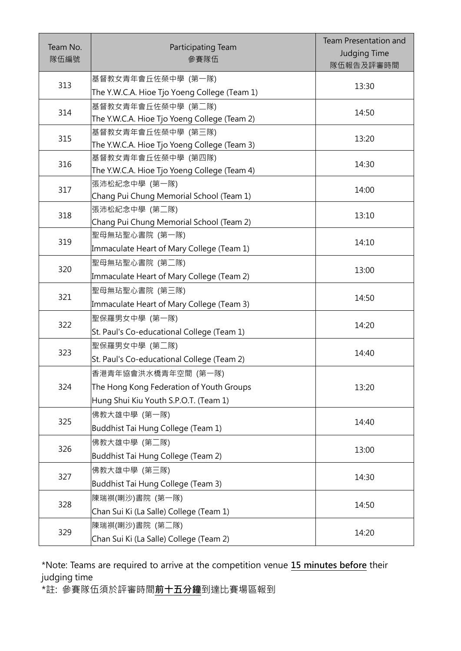| Team No.<br>隊伍編號 | Participating Team<br>參賽隊伍                                         | <b>Team Presentation and</b><br><b>Judging Time</b><br>隊伍報告及評審時間 |
|------------------|--------------------------------------------------------------------|------------------------------------------------------------------|
| 313              | 基督教女青年會丘佐榮中學 (第一隊)                                                 | 13:30                                                            |
|                  | The Y.W.C.A. Hioe Tjo Yoeng College (Team 1)                       |                                                                  |
| 314              | 基督教女青年會丘佐榮中學 (第二隊)<br>The Y.W.C.A. Hioe Tjo Yoeng College (Team 2) | 14:50                                                            |
|                  | 基督教女青年會丘佐榮中學 (第三隊)                                                 | 13:20                                                            |
| 315              | The Y.W.C.A. Hioe Tjo Yoeng College (Team 3)                       |                                                                  |
|                  | 基督教女青年會丘佐榮中學 (第四隊)                                                 |                                                                  |
| 316              | The Y.W.C.A. Hioe Tjo Yoeng College (Team 4)                       | 14:30                                                            |
|                  | 張沛松紀念中學 (第一隊)                                                      |                                                                  |
| 317              | Chang Pui Chung Memorial School (Team 1)                           | 14:00                                                            |
| 318              | 張沛松紀念中學 (第二隊)                                                      | 13:10                                                            |
|                  | Chang Pui Chung Memorial School (Team 2)                           |                                                                  |
| 319              | 聖母無玷聖心書院 (第一隊)                                                     | 14:10                                                            |
|                  | Immaculate Heart of Mary College (Team 1)                          |                                                                  |
| 320              | 聖母無玷聖心書院 (第二隊)                                                     | 13:00                                                            |
|                  | Immaculate Heart of Mary College (Team 2)                          |                                                                  |
| 321              | 聖母無玷聖心書院 (第三隊)                                                     |                                                                  |
|                  | Immaculate Heart of Mary College (Team 3)                          | 14:50                                                            |
| 322              | 聖保羅男女中學 (第一隊)                                                      |                                                                  |
|                  | St. Paul's Co-educational College (Team 1)                         | 14:20                                                            |
|                  | 聖保羅男女中學 (第二隊)                                                      |                                                                  |
| 323              | St. Paul's Co-educational College (Team 2)                         | 14:40                                                            |
| 324              | 香港青年協會洪水橋青年空間 (第一隊)                                                |                                                                  |
|                  | The Hong Kong Federation of Youth Groups                           | 13:20                                                            |
|                  | Hung Shui Kiu Youth S.P.O.T. (Team 1)                              |                                                                  |
|                  | 佛教大雄中學 (第一隊)                                                       | 14:40                                                            |
| 325              | Buddhist Tai Hung College (Team 1)                                 |                                                                  |
|                  | 佛教大雄中學 (第二隊)                                                       |                                                                  |
| 326              | Buddhist Tai Hung College (Team 2)                                 | 13:00                                                            |
| 327              | 佛教大雄中學 (第三隊)                                                       |                                                                  |
|                  | Buddhist Tai Hung College (Team 3)                                 | 14:30                                                            |
| 328              | 陳瑞祺(喇沙)書院 (第一隊)                                                    | 14:50                                                            |
|                  | Chan Sui Ki (La Salle) College (Team 1)                            |                                                                  |
| 329              | 陳瑞祺(喇沙)書院 (第二隊)                                                    | 14:20                                                            |
|                  | Chan Sui Ki (La Salle) College (Team 2)                            |                                                                  |

\*Note: Teams are required to arrive at the competition venue 15 minutes before their judging time

,。。<br>\*註: 參賽隊伍須於評審時間<mark>前十五分鐘</mark>到達比賽場區報到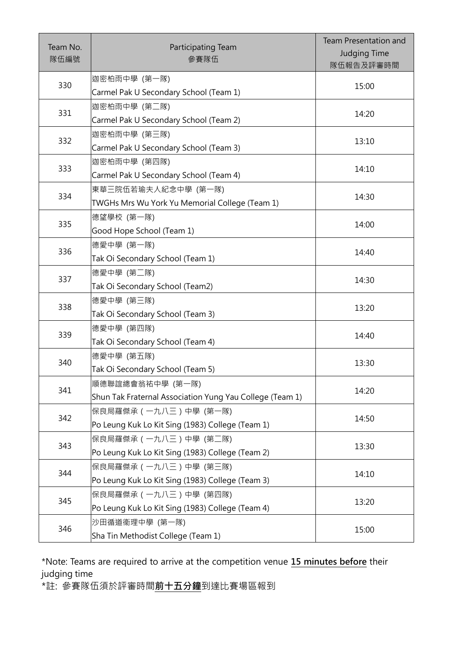| Team No.<br>隊伍編號 | Participating Team<br>參賽隊伍                                   | <b>Team Presentation and</b><br><b>Judging Time</b><br>隊伍報告及評審時間 |
|------------------|--------------------------------------------------------------|------------------------------------------------------------------|
| 330              | 迦密柏雨中學 (第一隊)                                                 | 15:00                                                            |
|                  | Carmel Pak U Secondary School (Team 1)                       |                                                                  |
| 331              | 迦密柏雨中學 (第二隊)<br>Carmel Pak U Secondary School (Team 2)       | 14:20                                                            |
|                  |                                                              |                                                                  |
| 332              | 迦密柏雨中學 (第三隊)<br>Carmel Pak U Secondary School (Team 3)       | 13:10                                                            |
|                  |                                                              |                                                                  |
| 333              | 迦密柏雨中學 (第四隊)<br>Carmel Pak U Secondary School (Team 4)       | 14:10                                                            |
|                  |                                                              |                                                                  |
| 334              | 東華三院伍若瑜夫人紀念中學 (第一隊)                                          | 14:30                                                            |
|                  | TWGHs Mrs Wu York Yu Memorial College (Team 1)<br>德望學校 (第一隊) |                                                                  |
| 335              | Good Hope School (Team 1)                                    | 14:00                                                            |
|                  | 德愛中學 (第一隊)                                                   |                                                                  |
| 336              | Tak Oi Secondary School (Team 1)                             | 14:40                                                            |
|                  | 德愛中學 (第二隊)                                                   | 14:30                                                            |
| 337              | Tak Oi Secondary School (Team2)                              |                                                                  |
|                  | 德愛中學 (第三隊)                                                   |                                                                  |
| 338              | Tak Oi Secondary School (Team 3)                             | 13:20                                                            |
| 339              | 德愛中學 (第四隊)                                                   |                                                                  |
|                  | Tak Oi Secondary School (Team 4)                             | 14:40                                                            |
| 340              | 德愛中學 (第五隊)                                                   | 13:30                                                            |
|                  | Tak Oi Secondary School (Team 5)                             |                                                                  |
| 341              | 順德聯誼總會翁祐中學 (第一隊)                                             | 14:20                                                            |
|                  | Shun Tak Fraternal Association Yung Yau College (Team 1)     |                                                                  |
| 342              | 保良局羅傑承 (一九八三)中學 (第一隊)                                        | 14:50                                                            |
|                  | Po Leung Kuk Lo Kit Sing (1983) College (Team 1)             |                                                                  |
| 343              | 保良局羅傑承 (一九八三)中學 (第二隊)                                        | 13:30                                                            |
|                  | Po Leung Kuk Lo Kit Sing (1983) College (Team 2)             |                                                                  |
| 344              | 保良局羅傑承 (一九八三)中學 (第三隊)                                        | 14:10                                                            |
|                  | Po Leung Kuk Lo Kit Sing (1983) College (Team 3)             |                                                                  |
| 345              | 保良局羅傑承 (一九八三)中學 (第四隊)                                        | 13:20                                                            |
|                  | Po Leung Kuk Lo Kit Sing (1983) College (Team 4)             |                                                                  |
| 346              | 沙田循道衞理中學 (第一隊)                                               | 15:00                                                            |
|                  | Sha Tin Methodist College (Team 1)                           |                                                                  |

\*Note: Teams are required to arrive at the competition venue 15 minutes before their judging time